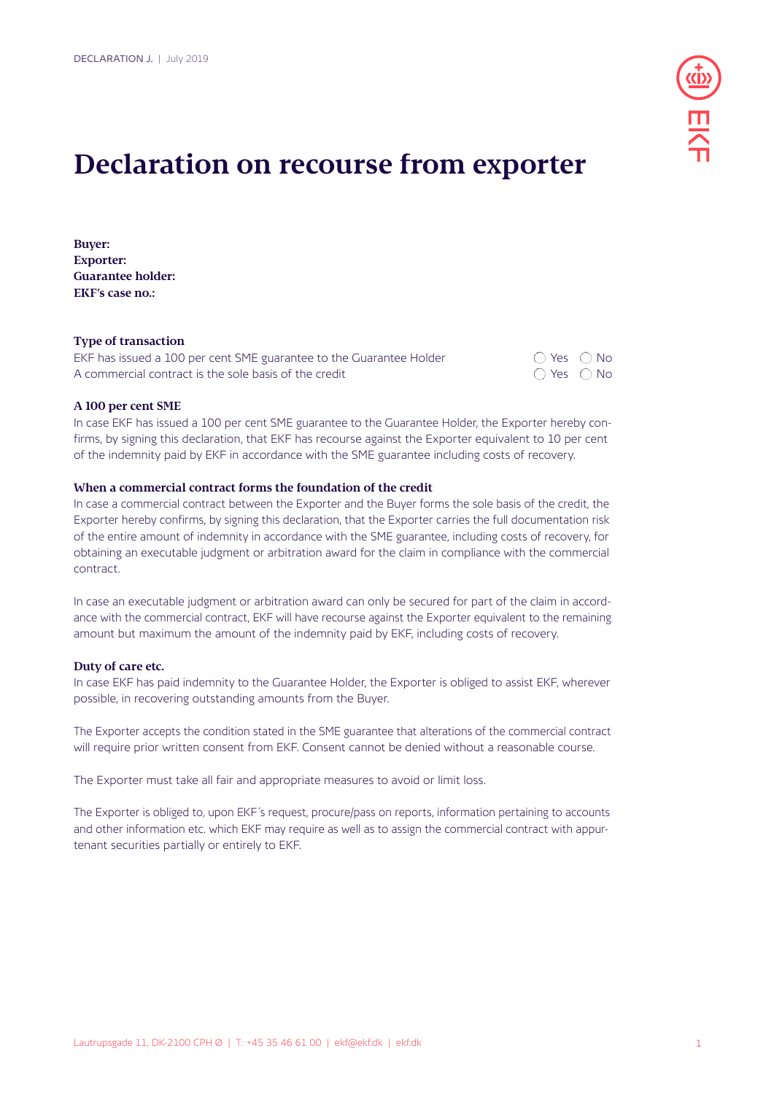

# **Declaration on recourse from exporter**

**Buyer: Exporter: Guarantee holder: EKF's case no.:** 

### **Type of transaction**

| EKF has issued a 100 per cent SME guarantee to the Guarantee Holder | $\bigcap$ Yes $\bigcap$ No   |  |
|---------------------------------------------------------------------|------------------------------|--|
| A commercial contract is the sole basis of the credit               | $\bigcirc$ Yes $\bigcirc$ No |  |

#### **A 100 per cent SME**

In case EKF has issued a 100 per cent SME guarantee to the Guarantee Holder, the Exporter hereby confirms, by signing this declaration, that EKF has recourse against the Exporter equivalent to 10 per cent of the indemnity paid by EKF in accordance with the SME guarantee including costs of recovery.

#### **When a commercial contract forms the foundation of the credit**

In case a commercial contract between the Exporter and the Buyer forms the sole basis of the credit, the Exporter hereby confirms, by signing this declaration, that the Exporter carries the full documentation risk of the entire amount of indemnity in accordance with the SME guarantee, including costs of recovery, for obtaining an executable judgment or arbitration award for the claim in compliance with the commercial contract.

In case an executable judgment or arbitration award can only be secured for part of the claim in accordance with the commercial contract, EKF will have recourse against the Exporter equivalent to the remaining amount but maximum the amount of the indemnity paid by EKF, including costs of recovery.

#### **Duty of care etc.**

In case EKF has paid indemnity to the Guarantee Holder, the Exporter is obliged to assist EKF, wherever possible, in recovering outstanding amounts from the Buyer.

The Exporter accepts the condition stated in the SME guarantee that alterations of the commercial contract will require prior written consent from EKF. Consent cannot be denied without a reasonable course.

The Exporter must take all fair and appropriate measures to avoid or limit loss.

The Exporter is obliged to, upon EKF´s request, procure/pass on reports, information pertaining to accounts and other information etc. which EKF may require as well as to assign the commercial contract with appurtenant securities partially or entirely to EKF.